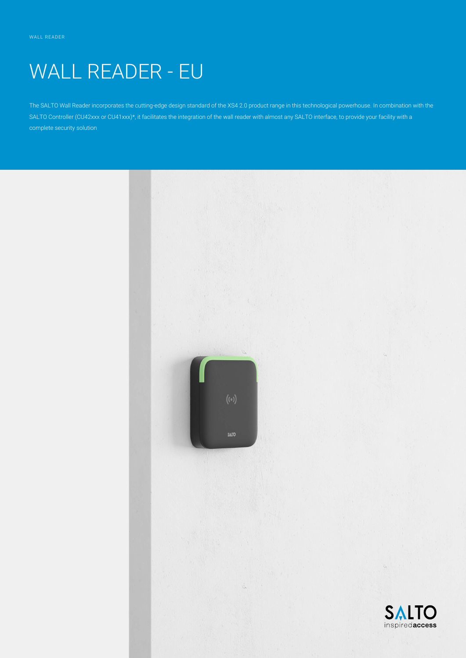# WALL READER - EU

The SALTO Wall Reader incorporates the cutting-edge design standard of the XS4 2.0 product range in this technological powerhouse. In combination with the SALTO Controller (CU42xxx or CU41xxx)\*, it facilitates the integration of the wall reader with almost any SALTO interface, to provide your facility with a complete security solution